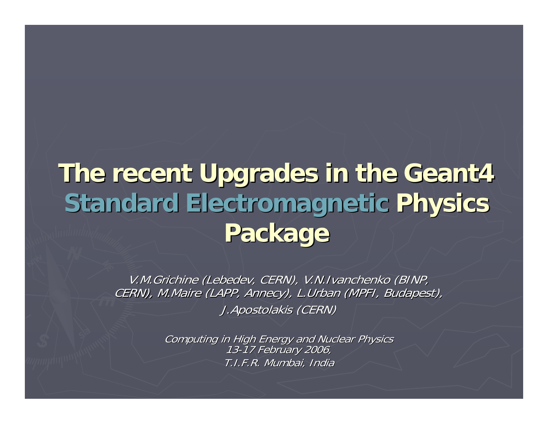### **The recent Upgrades in the Geant4 The recent Upgrades in the Geant4 Standard Standard Electromagnetic Electromagnetic Physics Physics Package Package**

V.M.Grichine (Lebedev, CERN), V.N.Ivanchenko (BINP, CERN), M.Maire (LAPP, Annecy), L.Urban (MPFI, Budapest), J.Apostolakis J.Apostolakis (CERN)

> Computing in High Energy and Nuclear Physics<br>13-17 February 2006, T.I.F.R. Mumbai, India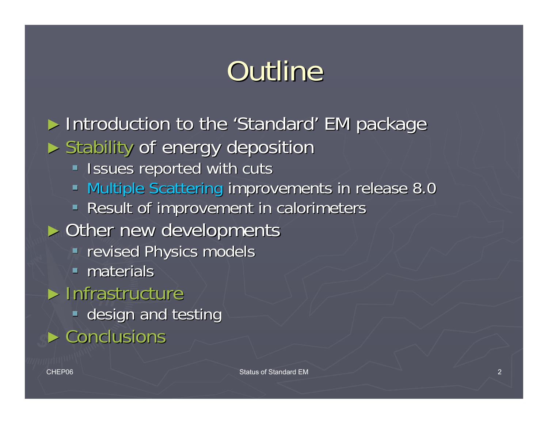# Outline

► Introduction to the 'Standard' EM package ► Stability of energy deposition **Issues reported with cuts Multiple Scattering improvements in release 8.0** Result of improvement in calorimeters  $\triangleright$  Other new developments **Perised Physics models**  $\blacksquare$  materials  $\blacktriangleright$  Infrastructure **design and testing**  $\blacktriangleright$  Conclusions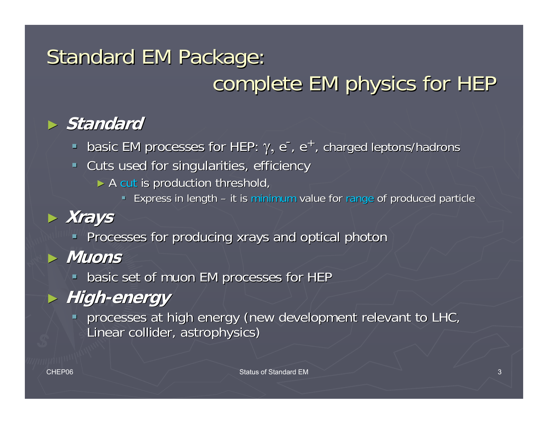### Standard EM Package: complete EM physics for HEP

#### ► *Standard*

**-** basic EM processes for HEP:  $\gamma$ , e<sup>-</sup>, e<sup>+</sup>, charged leptons/hadrons

- Cuts used for singularities, efficiency
	- $\triangleright$  A cut is production threshold,
		- **Express in length it is minimum value for range of produced particle one**

### ► **Xrays**

**Processes for producing xrays and optical photon** 

- ► **Muons**
	- **-** basic set of muon EM processes for HEP

### ► **High-energy**

**Perocesses at high energy (new development relevant to LHC, development relevant to LHC, development relevant relevant relevant relevant relevant relevant relevant relevant relevant relevant relevant relevant relevant rel** Linear collider, astrophysics) Linear collider, astrophysics)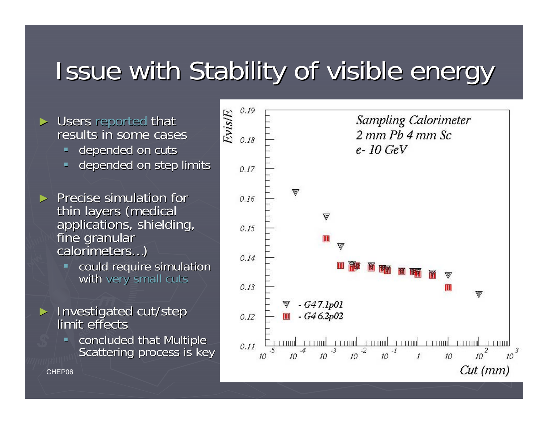## Issue with Stability of visible energy

#### ► Users reported that Dusers reported that<br>results in some cases

- depended on cuts
- $\blacksquare$ depended on step limits
- $\triangleright$  Precise simulation for thin layers (medical<br>applications, shielding,<br>fine granular calorimeters…)
	- $\blacksquare$ could require simulation with very small cuts
- ► Investigated cut/step<br>limit effects
	- $\blacksquare$ concluded that Multiple<br>Scattering process is key

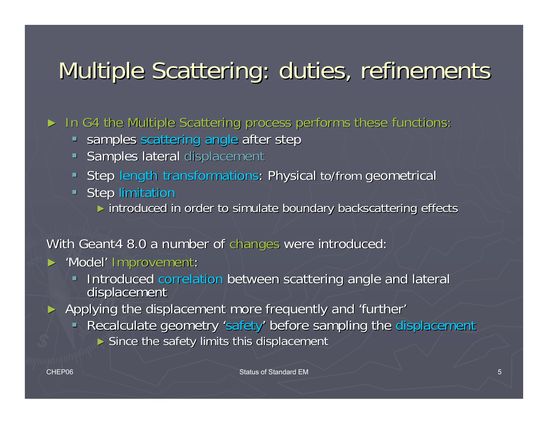### Multiple Scattering: duties, refinements

► In G4 the Multiple Scattering process performs these functions:

- **Samples scattering angle after step**
- Samples lateral displacement
- Step length transformations: Physical to/from geometrical
- **Step limitation** 
	- ► introduced in order to simulate boundary backscattering effects

#### With Geant4 8.0 a number of changes were introduced:

- ► 'Model' Improvement:
	- $\blacksquare$ Introduced correlation between scattering angle and lateral displacement

► Applying the displacement more frequently and 'further'

- Recalculate geometry 'safety' before sampling the displacement
	- $\triangleright$  Since the safety limits this displacement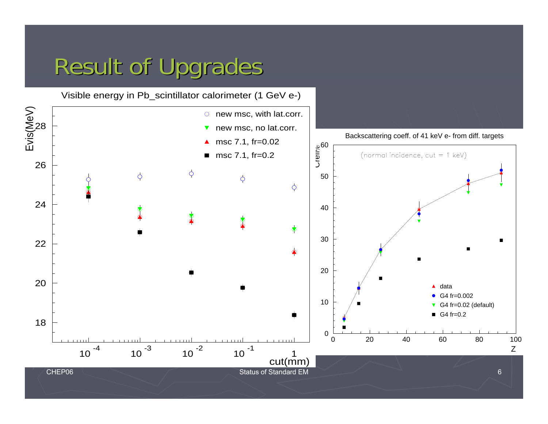### Result of Upgrades

Visible energy in Pb\_scintillator calorimeter (1 GeV e-)

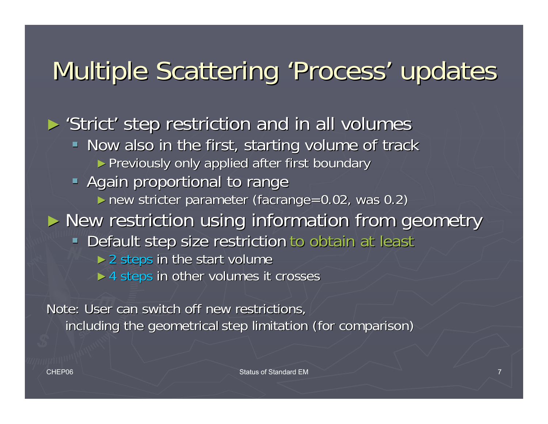## Multiple Scattering 'Process' updates

► 'Strict' step restriction and in all volumes

- Now also in the first, starting volume of track ► Previously only applied after first boundary
- **Again proportional to range** 
	- $\blacktriangleright$  new stricter parameter (facrange=0.02, was 0.2)
- ► New restriction using information from geometry
	- **Default step size restriction to obtain at least Theorem** 
		- $>$  2 steps in the start volume
		- $\triangleright$  4 steps in other volumes it crosses

Note: User can switch off new restrictions, including the geometrical step limitation (for comparison)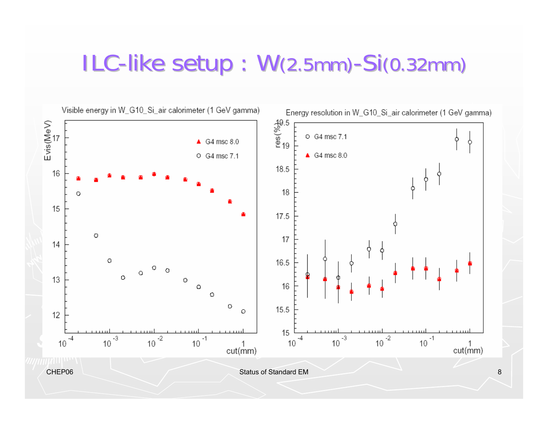### ILC-like setup: W(2.5mm)-Si(0.32mm)

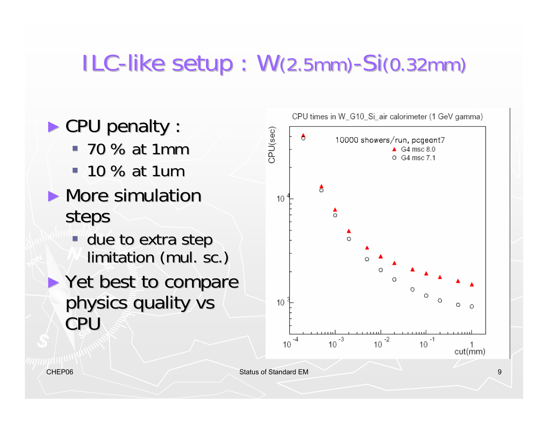## ILC-like setup: W(2.5mm)-Si(0.32mm)

CPU times in W G10 Si air calorimeter (1 GeV gamma) ► CPU penalty : Cose)URC Α 10000 showers/run, pcgeant7  $-70$  % at 1mm  $\triangle$  G4 msc 8.0 O G4 msc 7.1  $-10\%$  at 1um A  $\blacktriangleright$  More simulation  $10$  $\frac{1}{2}$ steps А  $\blacksquare$  due to extra step  $\circ$ limitation (mul. sc.) ► Yet best to compare physics quality vs  $10$ CPU  $\frac{1}{10^{-3}}$  $-2$  $-1$  $10$ 10 10

cut(mm)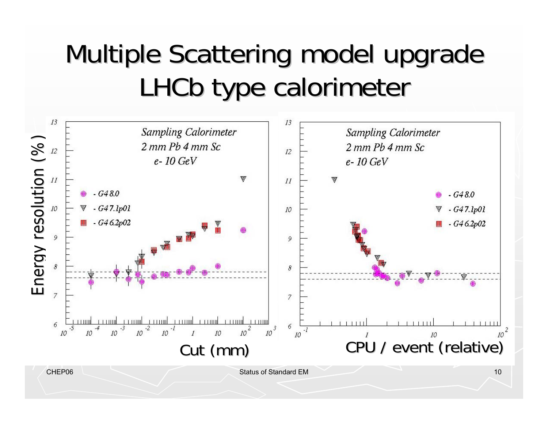## Multiple Scattering model upgrade LHCb type calorimeter

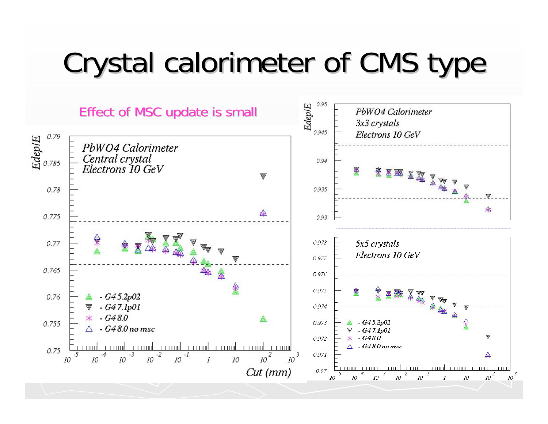# Crystal calorimeter of CMS type

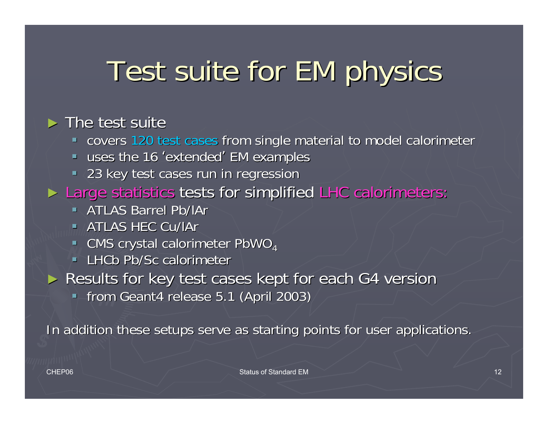# Test suite for EM physics

#### $\triangleright$  The test suite

- **-** covers 120 test cases from single material to model calorimeter
- **uses the 16 'extended' EM examples**
- **23 key test cases run in regression**
- ► Large statistics tests for simplified LHC calorimeters:
	- **ATLAS Barrel Pb/IAr**
	- $\blacksquare$  ATLAS HEC Cu/lAr
	- CMS crystal calorimeter PbWO<sub>4</sub>
	- **LHCb Pb/Sc calorimeter**
- ► Results for key test cases kept for each G4 version
	- **from Geant4 release 5.1 (April 2003)**

In addition these setups serve as starting points for user applications.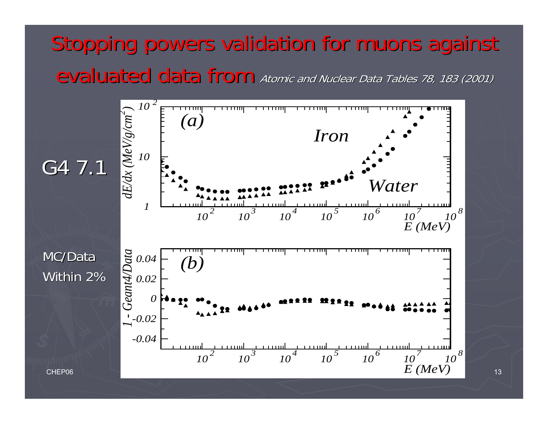### Stopping powers validation for muons against evaluated data from Atomic and Nuclear Data Tables 78, 183 (2001)

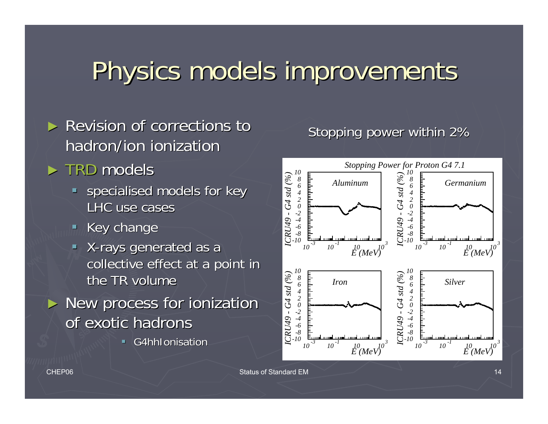## Physics models improvements Physics models improvements

- $\triangleright$  Revision of corrections to hadron/ion ionization
- ► TRD models
	- $\blacksquare$  specialised models for key LHC use cases
	- $\blacksquare$  Key change
	- X-rays generated as a collective effect at a point in the TR volume
- $\blacktriangleright$  New process for ionization of exotic hadrons
	- п G4hhIonisation

#### Stopping power within 2%

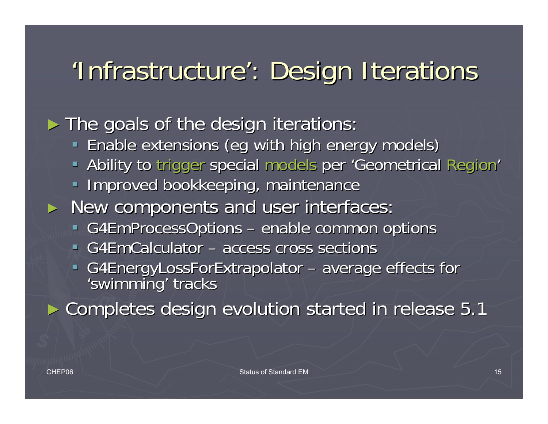## 'Infrastructure': Design Iterations

► The goals of the design iterations:

- **Enable extensions (eg with high energy models) with high energy models)**
- Ability to trigger special models per 'Geometrical Region'
- **Improved bookkeeping, maintenance**
- ► New components and user interfaces:
	- G4EmProcessOptions –– enable common options
	- G4EmCalculator access cross sections
	- G4EnergyLossForExtrapolator –- average effects for 'swimming' tracks

► Completes design evolution started in release 5.1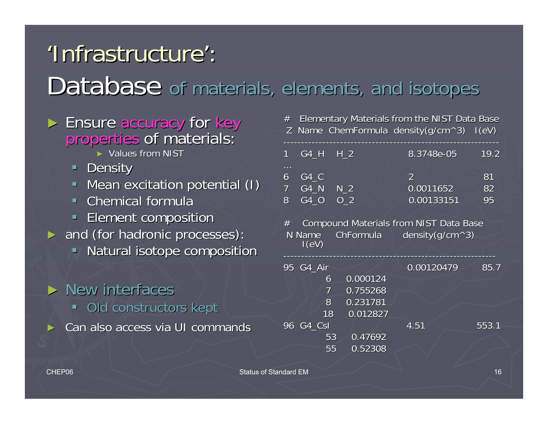## 'Infrastructure': Database of materials, elements, and isotopes

# ► Ensure accuracy for key<br>Properties of materials:

- ► Values from NIST
- **Density**
- **Mean excitation potential (I)**  $\blacksquare$
- $\blacksquare$  Chemical formula
- **Element composition**
- ► and (for hadronic processes):
	- Natural isotope composition

#### $\triangleright$  New interfaces  $\blacksquare$  Old constructors kept ►Can also access via UI commands

 $#$  Elementary Materials from the NIST Data Base Z Name ChemFormula density(g/cm^3)  $I(eV)$ 

| $\mathbf 1$ | G4 H H 2' |     | 8.3748e-05 | 19.2 |  |
|-------------|-----------|-----|------------|------|--|
| $\cdots$    |           |     |            |      |  |
| 6           | G4 C      |     |            | 81   |  |
|             | G4 N      | N 2 | 0.0011652  | 82   |  |
| 8           | G4 O      | O 2 | 0.00133151 | 95   |  |
|             |           |     |            |      |  |

 $#$  Compound Materials from NIST Data Base N Name ChFormula density(g/cm^3)

| 95 G4_Air |    |          | 0.00120479 | 85.7  |
|-----------|----|----------|------------|-------|
|           | 6  | 0.000124 |            |       |
|           | 7  | 0.755268 |            |       |
|           | 8  | 0.231781 |            |       |
|           | 18 | 0.012827 |            |       |
| 96 G4 CsI |    |          | 4.51       | 553.1 |
|           | 53 | 0.47692  |            |       |
|           | 55 | 0.52308  |            |       |